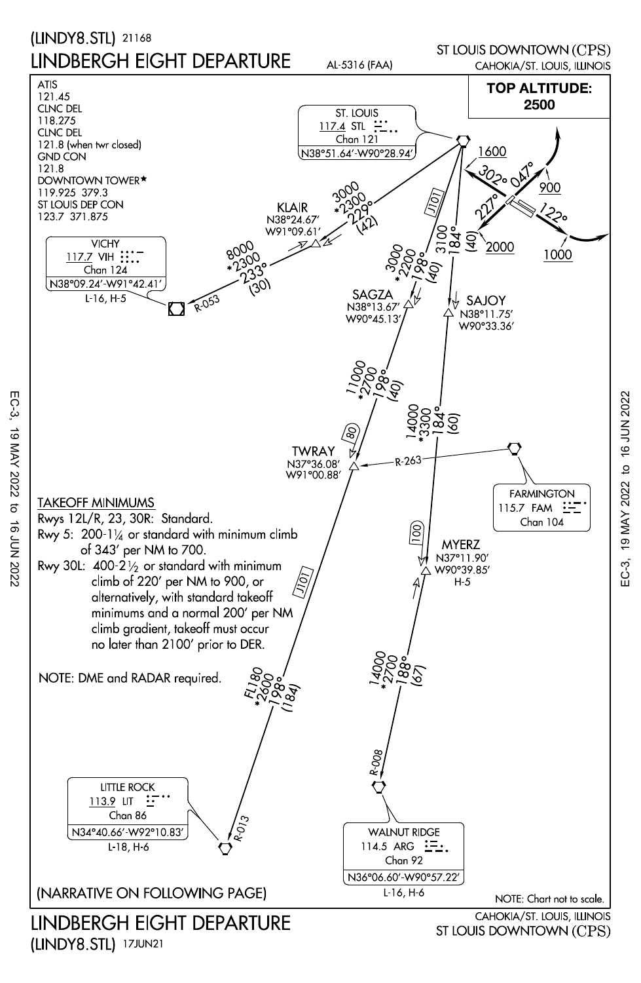

EC-3, 19 MAY 2022 to 16 JUN 202219 MAY 2022 to 16 JUN 2022 .<br>EC-3,